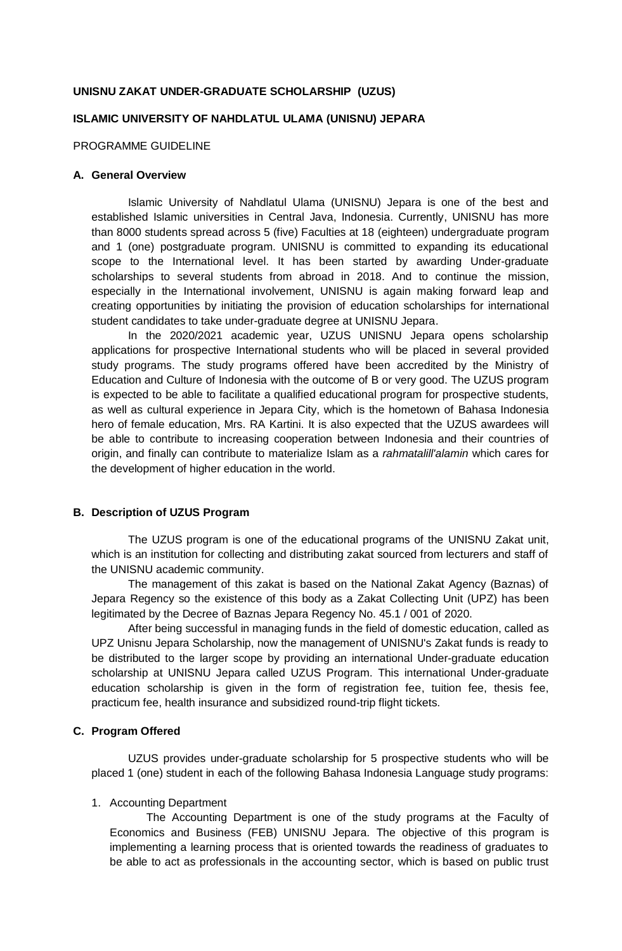### **UNISNU ZAKAT UNDER-GRADUATE SCHOLARSHIP (UZUS)**

## **ISLAMIC UNIVERSITY OF NAHDLATUL ULAMA (UNISNU) JEPARA**

PROGRAMME GUIDELINE

### **A. General Overview**

Islamic University of Nahdlatul Ulama (UNISNU) Jepara is one of the best and established Islamic universities in Central Java, Indonesia. Currently, UNISNU has more than 8000 students spread across 5 (five) Faculties at 18 (eighteen) undergraduate program and 1 (one) postgraduate program. UNISNU is committed to expanding its educational scope to the International level. It has been started by awarding Under-graduate scholarships to several students from abroad in 2018. And to continue the mission, especially in the International involvement, UNISNU is again making forward leap and creating opportunities by initiating the provision of education scholarships for international student candidates to take under-graduate degree at UNISNU Jepara.

In the 2020/2021 academic year, UZUS UNISNU Jepara opens scholarship applications for prospective International students who will be placed in several provided study programs. The study programs offered have been accredited by the Ministry of Education and Culture of Indonesia with the outcome of B or very good. The UZUS program is expected to be able to facilitate a qualified educational program for prospective students, as well as cultural experience in Jepara City, which is the hometown of Bahasa Indonesia hero of female education, Mrs. RA Kartini. It is also expected that the UZUS awardees will be able to contribute to increasing cooperation between Indonesia and their countries of origin, and finally can contribute to materialize Islam as a *rahmatalill'alamin* which cares for the development of higher education in the world.

#### **B. Description of UZUS Program**

The UZUS program is one of the educational programs of the UNISNU Zakat unit, which is an institution for collecting and distributing zakat sourced from lecturers and staff of the UNISNU academic community.

The management of this zakat is based on the National Zakat Agency (Baznas) of Jepara Regency so the existence of this body as a Zakat Collecting Unit (UPZ) has been legitimated by the Decree of Baznas Jepara Regency No. 45.1 / 001 of 2020.

After being successful in managing funds in the field of domestic education, called as UPZ Unisnu Jepara Scholarship, now the management of UNISNU's Zakat funds is ready to be distributed to the larger scope by providing an international Under-graduate education scholarship at UNISNU Jepara called UZUS Program. This international Under-graduate education scholarship is given in the form of registration fee, tuition fee, thesis fee, practicum fee, health insurance and subsidized round-trip flight tickets.

### **C. Program Offered**

UZUS provides under-graduate scholarship for 5 prospective students who will be placed 1 (one) student in each of the following Bahasa Indonesia Language study programs:

#### 1. Accounting Department

The Accounting Department is one of the study programs at the Faculty of Economics and Business (FEB) UNISNU Jepara. The objective of this program is implementing a learning process that is oriented towards the readiness of graduates to be able to act as professionals in the accounting sector, which is based on public trust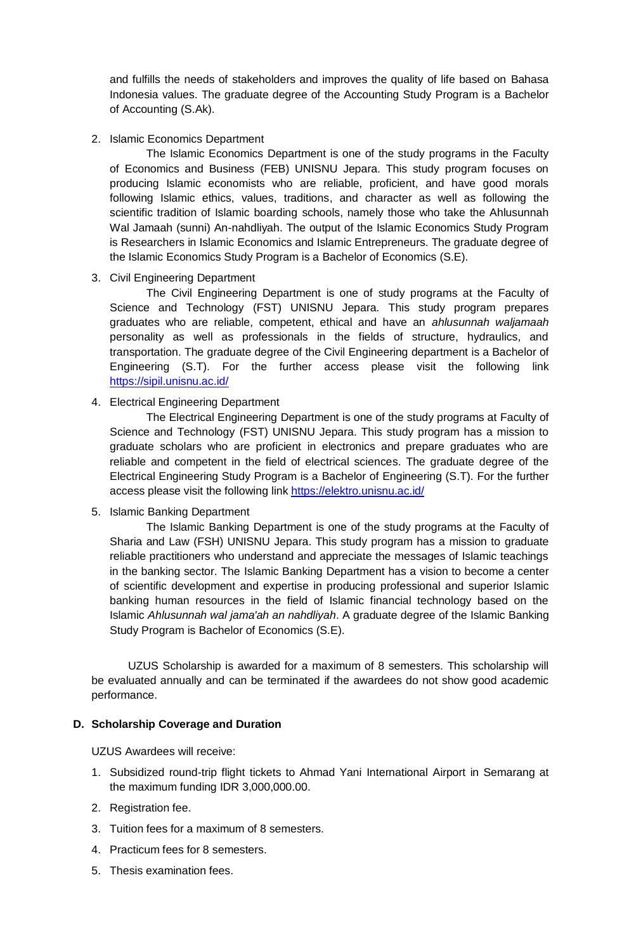and fulfills the needs of stakeholders and improves the quality of life based on Bahasa Indonesia values. The graduate degree of the Accounting Study Program is a Bachelor of Accounting (S.Ak).

### 2. Islamic Economics Department

The Islamic Economics Department is one of the study programs in the Faculty of Economics and Business (FEB) UNISNU Jepara. This study program focuses on producing Islamic economists who are reliable, proficient, and have good morals following Islamic ethics, values, traditions, and character as well as following the scientific tradition of Islamic boarding schools, namely those who take the Ahlusunnah Wal Jamaah (sunni) An-nahdliyah. The output of the Islamic Economics Study Program is Researchers in Islamic Economics and Islamic Entrepreneurs. The graduate degree of the Islamic Economics Study Program is a Bachelor of Economics (S.E).

## 3. Civil Engineering Department

The Civil Engineering Department is one of study programs at the Faculty of Science and Technology (FST) UNISNU Jepara. This study program prepares graduates who are reliable, competent, ethical and have an *ahlusunnah waljamaah* personality as well as professionals in the fields of structure, hydraulics, and transportation. The graduate degree of the Civil Engineering department is a Bachelor of Engineering (S.T). For the further access please visit the following link <https://sipil.unisnu.ac.id/>

## 4. Electrical Engineering Department

The Electrical Engineering Department is one of the study programs at Faculty of Science and Technology (FST) UNISNU Jepara. This study program has a mission to graduate scholars who are proficient in electronics and prepare graduates who are reliable and competent in the field of electrical sciences. The graduate degree of the Electrical Engineering Study Program is a Bachelor of Engineering (S.T). For the further access please visit the following link<https://elektro.unisnu.ac.id/>

## 5. Islamic Banking Department

The Islamic Banking Department is one of the study programs at the Faculty of Sharia and Law (FSH) UNISNU Jepara. This study program has a mission to graduate reliable practitioners who understand and appreciate the messages of Islamic teachings in the banking sector. The Islamic Banking Department has a vision to become a center of scientific development and expertise in producing professional and superior Islamic banking human resources in the field of Islamic financial technology based on the Islamic *Ahlusunnah wal jama'ah an nahdliyah*. A graduate degree of the Islamic Banking Study Program is Bachelor of Economics (S.E).

UZUS Scholarship is awarded for a maximum of 8 semesters. This scholarship will be evaluated annually and can be terminated if the awardees do not show good academic performance.

## **D. Scholarship Coverage and Duration**

UZUS Awardees will receive:

- 1. Subsidized round-trip flight tickets to Ahmad Yani International Airport in Semarang at the maximum funding IDR 3,000,000.00.
- 2. Registration fee.
- 3. Tuition fees for a maximum of 8 semesters.
- 4. Practicum fees for 8 semesters.
- 5. Thesis examination fees.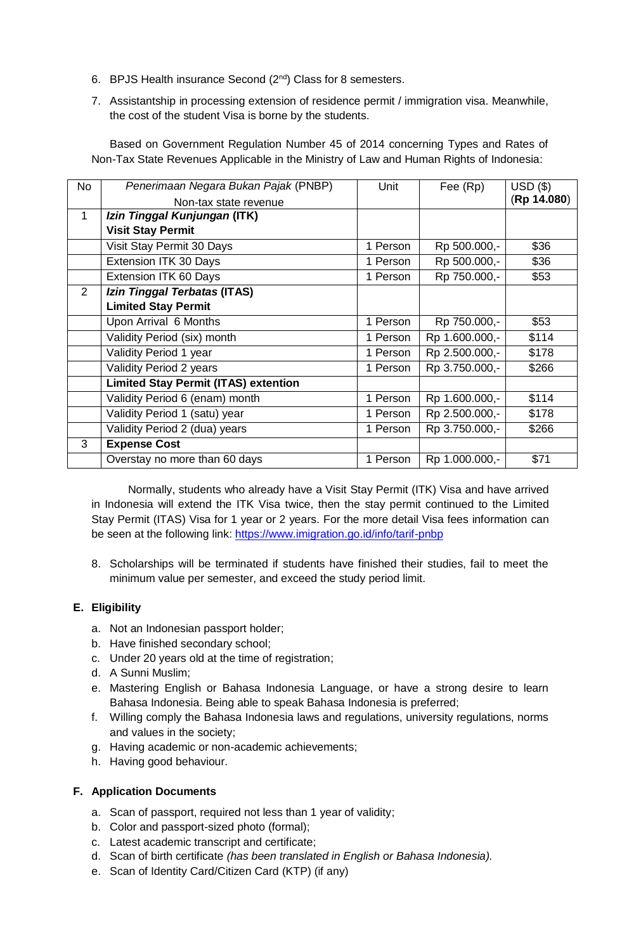- 6. BPJS Health insurance Second  $(2^{nd})$  Class for 8 semesters.
- 7. Assistantship in processing extension of residence permit / immigration visa. Meanwhile, the cost of the student Visa is borne by the students.

Based on Government Regulation Number 45 of 2014 concerning Types and Rates of Non-Tax State Revenues Applicable in the Ministry of Law and Human Rights of Indonesia:

| <b>No</b>      | Penerimaan Negara Bukan Pajak (PNBP)        | Unit     | Fee (Rp)       | $USD($ \$)  |
|----------------|---------------------------------------------|----------|----------------|-------------|
|                | Non-tax state revenue                       |          |                | (Rp 14.080) |
| $\mathbf{1}$   | Izin Tinggal Kunjungan (ITK)                |          |                |             |
|                | <b>Visit Stay Permit</b>                    |          |                |             |
|                | Visit Stay Permit 30 Days                   | 1 Person | Rp 500.000,-   | \$36        |
|                | Extension ITK 30 Days                       | 1 Person | Rp 500.000,-   | \$36        |
|                | Extension ITK 60 Days                       | 1 Person | Rp 750.000,-   | \$53        |
| $\overline{2}$ | Izin Tinggal Terbatas (ITAS)                |          |                |             |
|                | <b>Limited Stay Permit</b>                  |          |                |             |
|                | Upon Arrival 6 Months                       | 1 Person | Rp 750.000,-   | \$53        |
|                | Validity Period (six) month                 | 1 Person | Rp 1.600.000,- | \$114       |
|                | Validity Period 1 year                      | 1 Person | Rp 2.500.000,- | \$178       |
|                | Validity Period 2 years                     | 1 Person | Rp 3.750.000,- | \$266       |
|                | <b>Limited Stay Permit (ITAS) extention</b> |          |                |             |
|                | Validity Period 6 (enam) month              | 1 Person | Rp 1.600.000,- | \$114       |
|                | Validity Period 1 (satu) year               | 1 Person | Rp 2.500.000,- | \$178       |
|                | Validity Period 2 (dua) years               | 1 Person | Rp 3.750.000,- | \$266       |
| 3              | <b>Expense Cost</b>                         |          |                |             |
|                | Overstay no more than 60 days               | 1 Person | Rp 1.000.000,- | \$71        |

Normally, students who already have a Visit Stay Permit (ITK) Visa and have arrived in Indonesia will extend the ITK Visa twice, then the stay permit continued to the Limited Stay Permit (ITAS) Visa for 1 year or 2 years. For the more detail Visa fees information can be seen at the following link: <https://www.imigration.go.id/info/tarif-pnbp>

8. Scholarships will be terminated if students have finished their studies, fail to meet the minimum value per semester, and exceed the study period limit.

# **E. Eligibility**

- a. Not an Indonesian passport holder;
- b. Have finished secondary school;
- c. Under 20 years old at the time of registration;
- d. A Sunni Muslim;
- e. Mastering English or Bahasa Indonesia Language, or have a strong desire to learn Bahasa Indonesia. Being able to speak Bahasa Indonesia is preferred;
- f. Willing comply the Bahasa Indonesia laws and regulations, university regulations, norms and values in the society;
- g. Having academic or non-academic achievements;
- h. Having good behaviour.

## **F. Application Documents**

- a. Scan of passport, required not less than 1 year of validity;
- b. Color and passport-sized photo (formal);
- c. Latest academic transcript and certificate;
- d. Scan of birth certificate *(has been translated in English or Bahasa Indonesia).*
- e. Scan of Identity Card/Citizen Card (KTP) (if any)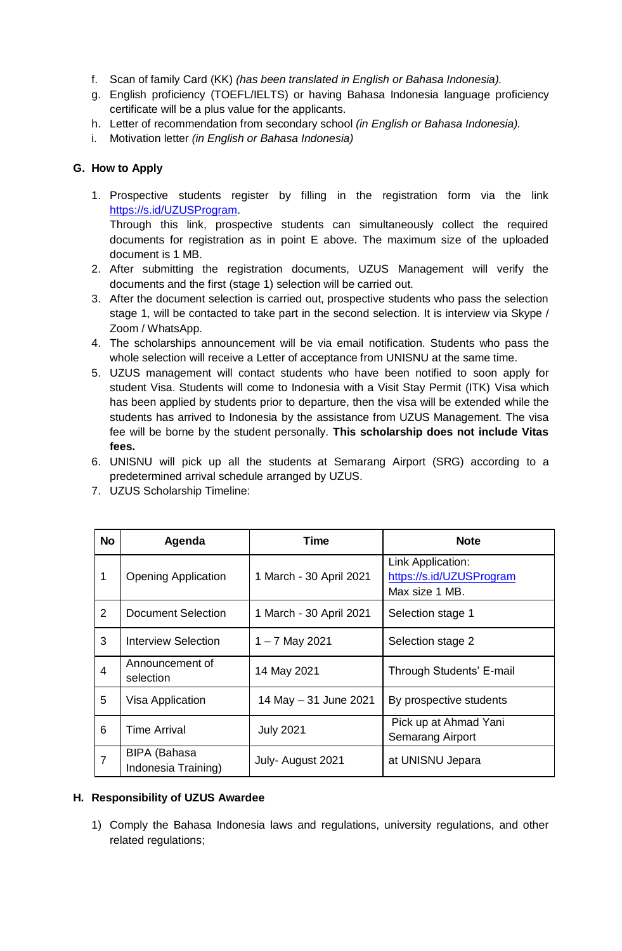- f. Scan of family Card (KK) *(has been translated in English or Bahasa Indonesia).*
- g. English proficiency (TOEFL/IELTS) or having Bahasa Indonesia language proficiency certificate will be a plus value for the applicants.
- h. Letter of recommendation from secondary school *(in English or Bahasa Indonesia).*
- i. Motivation letter *(in English or Bahasa Indonesia)*

# **G. How to Apply**

1. Prospective students register by filling in the registration form via the link [https://s.id/UZUSProgram.](https://s.id/UZUSProgram)

Through this link, prospective students can simultaneously collect the required documents for registration as in point E above. The maximum size of the uploaded document is 1 MB.

- 2. After submitting the registration documents, UZUS Management will verify the documents and the first (stage 1) selection will be carried out.
- 3. After the document selection is carried out, prospective students who pass the selection stage 1, will be contacted to take part in the second selection. It is interview via Skype / Zoom / WhatsApp.
- 4. The scholarships announcement will be via email notification. Students who pass the whole selection will receive a Letter of acceptance from UNISNU at the same time.
- 5. UZUS management will contact students who have been notified to soon apply for student Visa. Students will come to Indonesia with a Visit Stay Permit (ITK) Visa which has been applied by students prior to departure, then the visa will be extended while the students has arrived to Indonesia by the assistance from UZUS Management. The visa fee will be borne by the student personally. **This scholarship does not include Vitas fees.**
- 6. UNISNU will pick up all the students at Semarang Airport (SRG) according to a predetermined arrival schedule arranged by UZUS.
- 7. UZUS Scholarship Timeline:

| <b>No</b>      | Agenda                                     | <b>Time</b>             | <b>Note</b>                                                     |
|----------------|--------------------------------------------|-------------------------|-----------------------------------------------------------------|
| 1              | <b>Opening Application</b>                 | 1 March - 30 April 2021 | Link Application:<br>https://s.id/UZUSProgram<br>Max size 1 MB. |
| $\overline{2}$ | <b>Document Selection</b>                  | 1 March - 30 April 2021 | Selection stage 1                                               |
| 3              | Interview Selection                        | $1 - 7$ May 2021        | Selection stage 2                                               |
| 4              | Announcement of<br>selection               | 14 May 2021             | Through Students' E-mail                                        |
| 5              | Visa Application                           | 14 May - 31 June 2021   | By prospective students                                         |
| 6              | <b>Time Arrival</b>                        | <b>July 2021</b>        | Pick up at Ahmad Yani<br><b>Semarang Airport</b>                |
| 7              | <b>BIPA</b> (Bahasa<br>Indonesia Training) | July- August 2021       | at UNISNU Jepara                                                |

## **H. Responsibility of UZUS Awardee**

1) Comply the Bahasa Indonesia laws and regulations, university regulations, and other related regulations;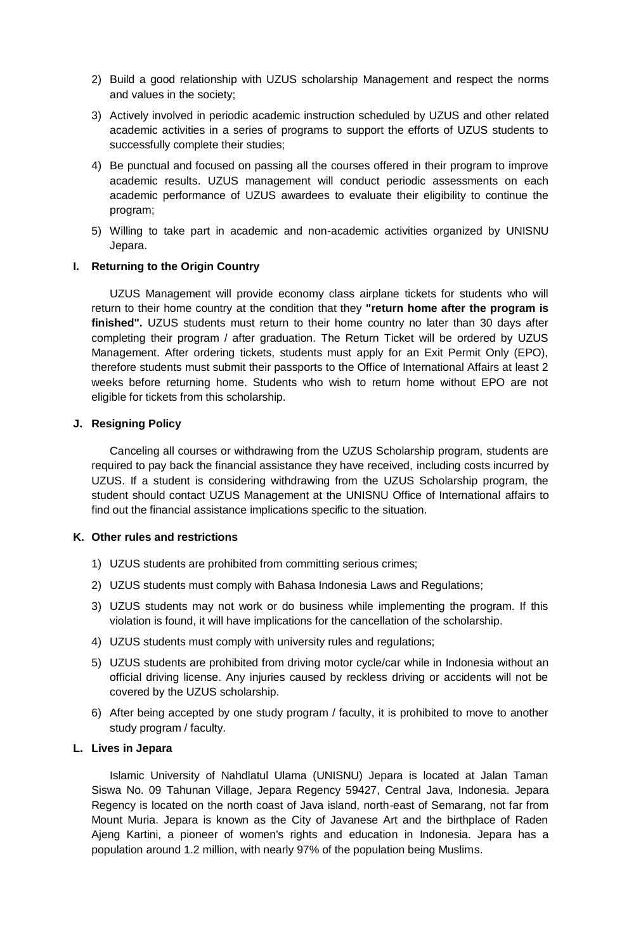- 2) Build a good relationship with UZUS scholarship Management and respect the norms and values in the society;
- 3) Actively involved in periodic academic instruction scheduled by UZUS and other related academic activities in a series of programs to support the efforts of UZUS students to successfully complete their studies;
- 4) Be punctual and focused on passing all the courses offered in their program to improve academic results. UZUS management will conduct periodic assessments on each academic performance of UZUS awardees to evaluate their eligibility to continue the program;
- 5) Willing to take part in academic and non-academic activities organized by UNISNU Jepara.

## **I. Returning to the Origin Country**

UZUS Management will provide economy class airplane tickets for students who will return to their home country at the condition that they **"return home after the program is finished".** UZUS students must return to their home country no later than 30 days after completing their program / after graduation. The Return Ticket will be ordered by UZUS Management. After ordering tickets, students must apply for an Exit Permit Only (EPO), therefore students must submit their passports to the Office of International Affairs at least 2 weeks before returning home. Students who wish to return home without EPO are not eligible for tickets from this scholarship.

## **J. Resigning Policy**

Canceling all courses or withdrawing from the UZUS Scholarship program, students are required to pay back the financial assistance they have received, including costs incurred by UZUS. If a student is considering withdrawing from the UZUS Scholarship program, the student should contact UZUS Management at the UNISNU Office of International affairs to find out the financial assistance implications specific to the situation.

### **K. Other rules and restrictions**

- 1) UZUS students are prohibited from committing serious crimes;
- 2) UZUS students must comply with Bahasa Indonesia Laws and Regulations;
- 3) UZUS students may not work or do business while implementing the program. If this violation is found, it will have implications for the cancellation of the scholarship.
- 4) UZUS students must comply with university rules and regulations;
- 5) UZUS students are prohibited from driving motor cycle/car while in Indonesia without an official driving license. Any injuries caused by reckless driving or accidents will not be covered by the UZUS scholarship.
- 6) After being accepted by one study program / faculty, it is prohibited to move to another study program / faculty.

### **L. Lives in Jepara**

Islamic University of Nahdlatul Ulama (UNISNU) Jepara is located at Jalan Taman Siswa No. 09 Tahunan Village, Jepara Regency 59427, Central Java, Indonesia. Jepara Regency is located on the north coast of Java island, north-east of Semarang, not far from Mount Muria. Jepara is known as the City of Javanese Art and the birthplace of Raden Ajeng Kartini, a pioneer of women's rights and education in Indonesia. Jepara has a population around 1.2 million, with nearly 97% of the population being Muslims.